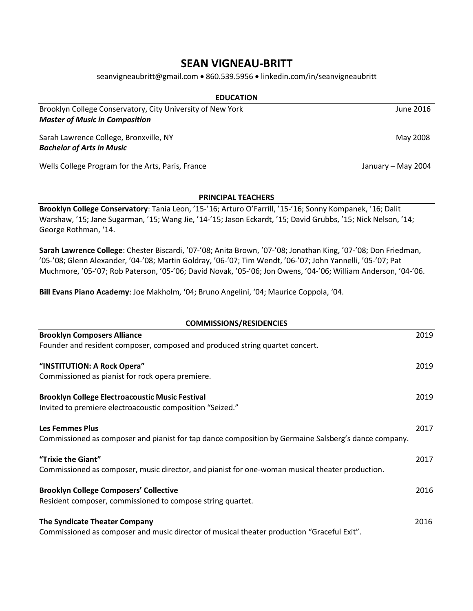# **SEAN VIGNEAU-BRITT**

seanvigneaubritt@gmail.com • 860.539.5956 • linkedin.com/in/seanvigneaubritt

## **EDUCATION** Brooklyn College Conservatory, City University of New York **Group 2016** June 2016 *Master of Music in Composition*

Sarah Lawrence College, Bronxville, NY May 2008 *Bachelor of Arts in Music*

Wells College Program for the Arts, Paris, France January – May 2004

## **PRINCIPAL TEACHERS**

**Brooklyn College Conservatory**: Tania Leon, '15-'16; Arturo O'Farrill, '15-'16; Sonny Kompanek, '16; Dalit Warshaw, '15; Jane Sugarman, '15; Wang Jie, '14-'15; Jason Eckardt, '15; David Grubbs, '15; Nick Nelson, '14; George Rothman, '14.

**Sarah Lawrence College**: Chester Biscardi, '07-'08; Anita Brown, '07-'08; Jonathan King, '07-'08; Don Friedman, '05-'08; Glenn Alexander, '04-'08; Martin Goldray, '06-'07; Tim Wendt, '06-'07; John Yannelli, '05-'07; Pat Muchmore, '05-'07; Rob Paterson, '05-'06; David Novak, '05-'06; Jon Owens, '04-'06; William Anderson, '04-'06.

**Bill Evans Piano Academy**: Joe Makholm, '04; Bruno Angelini, '04; Maurice Coppola, '04.

| <b>COMMISSIONS/RESIDENCIES</b>                                                                       |      |
|------------------------------------------------------------------------------------------------------|------|
| <b>Brooklyn Composers Alliance</b>                                                                   | 2019 |
| Founder and resident composer, composed and produced string quartet concert.                         |      |
| "INSTITUTION: A Rock Opera"                                                                          | 2019 |
| Commissioned as pianist for rock opera premiere.                                                     |      |
| <b>Brooklyn College Electroacoustic Music Festival</b>                                               | 2019 |
| Invited to premiere electroacoustic composition "Seized."                                            |      |
| <b>Les Femmes Plus</b>                                                                               | 2017 |
| Commissioned as composer and pianist for tap dance composition by Germaine Salsberg's dance company. |      |
| "Trixie the Giant"                                                                                   | 2017 |
| Commissioned as composer, music director, and pianist for one-woman musical theater production.      |      |
| <b>Brooklyn College Composers' Collective</b>                                                        | 2016 |
| Resident composer, commissioned to compose string quartet.                                           |      |
| <b>The Syndicate Theater Company</b>                                                                 | 2016 |
| Commissioned as composer and music director of musical theater production "Graceful Exit".           |      |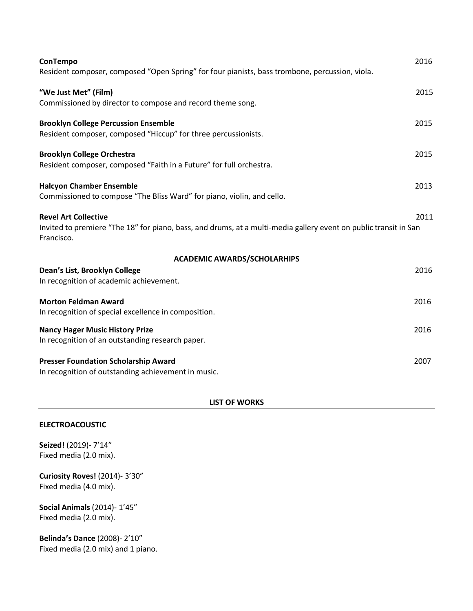| ConTempo<br>Resident composer, composed "Open Spring" for four pianists, bass trombone, percussion, viola.                                                    | 2016 |
|---------------------------------------------------------------------------------------------------------------------------------------------------------------|------|
| "We Just Met" (Film)<br>Commissioned by director to compose and record theme song.                                                                            | 2015 |
| <b>Brooklyn College Percussion Ensemble</b><br>Resident composer, composed "Hiccup" for three percussionists.                                                 | 2015 |
| <b>Brooklyn College Orchestra</b><br>Resident composer, composed "Faith in a Future" for full orchestra.                                                      | 2015 |
| <b>Halcyon Chamber Ensemble</b><br>Commissioned to compose "The Bliss Ward" for piano, violin, and cello.                                                     | 2013 |
| <b>Revel Art Collective</b><br>Invited to premiere "The 18" for piano, bass, and drums, at a multi-media gallery event on public transit in San<br>Francisco. | 2011 |
| <b>ACADEMIC AWARDS/SCHOLARHIPS</b>                                                                                                                            |      |
| Dean's List, Brooklyn College<br>In recognition of academic achievement.                                                                                      | 2016 |
| <b>Morton Feldman Award</b><br>In recognition of special excellence in composition.                                                                           | 2016 |
| <b>Nancy Hager Music History Prize</b><br>In recognition of an outstanding research paper.                                                                    | 2016 |
| <b>Presser Foundation Scholarship Award</b><br>In recognition of outstanding achievement in music.                                                            | 2007 |

## **LIST OF WORKS**

## **ELECTROACOUSTIC**

**Seized!** (2019)- 7'14" Fixed media (2.0 mix).

**Curiosity Roves!** (2014)- 3'30" Fixed media (4.0 mix).

**Social Animals** (2014)- 1'45" Fixed media (2.0 mix).

**Belinda's Dance** (2008)- 2'10" Fixed media (2.0 mix) and 1 piano.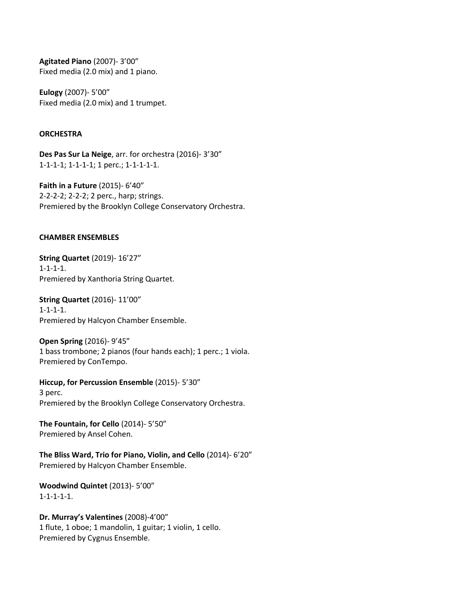**Agitated Piano** (2007)- 3'00" Fixed media (2.0 mix) and 1 piano.

**Eulogy** (2007)- 5'00" Fixed media (2.0 mix) and 1 trumpet.

## **ORCHESTRA**

**Des Pas Sur La Neige**, arr. for orchestra (2016)- 3'30" 1-1-1-1; 1-1-1-1; 1 perc.; 1-1-1-1-1.

**Faith in a Future** (2015)- 6'40" 2-2-2-2; 2-2-2; 2 perc., harp; strings. Premiered by the Brooklyn College Conservatory Orchestra.

## **CHAMBER ENSEMBLES**

**String Quartet** (2019)- 16'27" 1-1-1-1. Premiered by Xanthoria String Quartet.

**String Quartet** (2016)- 11'00" 1-1-1-1. Premiered by Halcyon Chamber Ensemble.

**Open Spring** (2016)- 9'45" 1 bass trombone; 2 pianos (four hands each); 1 perc.; 1 viola. Premiered by ConTempo.

**Hiccup, for Percussion Ensemble** (2015)- 5'30" 3 perc. Premiered by the Brooklyn College Conservatory Orchestra.

**The Fountain, for Cello** (2014)- 5'50" Premiered by Ansel Cohen.

**The Bliss Ward, Trio for Piano, Violin, and Cello** (2014)- 6'20" Premiered by Halcyon Chamber Ensemble.

**Woodwind Quintet** (2013)- 5'00" 1-1-1-1-1.

**Dr. Murray's Valentines** (2008)-4'00" 1 flute, 1 oboe; 1 mandolin, 1 guitar; 1 violin, 1 cello. Premiered by Cygnus Ensemble.